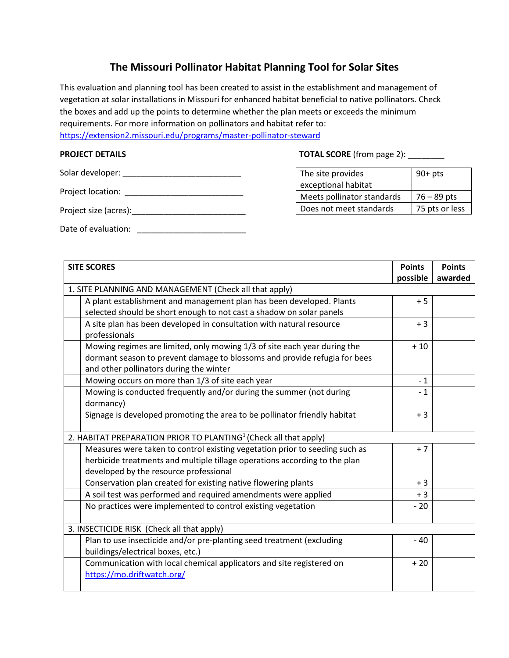## **The Missouri Pollinator Habitat Planning Tool for Solar Sites**

This evaluation and planning tool has been created to assist in the establishment and management of vegetation at solar installations in Missouri for enhanced habitat beneficial to native pollinators. Check the boxes and add up the points to determine whether the plan meets or exceeds the minimum requirements. For more information on pollinators and habitat refer to: <https://extension2.missouri.edu/programs/master-pollinator-steward>

| Solar developer:      |  |
|-----------------------|--|
| Project location:     |  |
| Project size (acres): |  |
| Date of evaluation:   |  |

**PROJECT DETAILS TOTAL SCORE** (from page 2): \_\_\_\_\_\_\_

| The site provides          | $90+pts$       |
|----------------------------|----------------|
| exceptional habitat        |                |
| Meets pollinator standards | $76 - 89$ pts  |
| Does not meet standards    | 75 pts or less |

| <b>SITE SCORES</b>                                                           |                                                                             | <b>Points</b> | <b>Points</b> |  |  |
|------------------------------------------------------------------------------|-----------------------------------------------------------------------------|---------------|---------------|--|--|
|                                                                              |                                                                             | possible      | awarded       |  |  |
| 1. SITE PLANNING AND MANAGEMENT (Check all that apply)                       |                                                                             |               |               |  |  |
|                                                                              | A plant establishment and management plan has been developed. Plants        | $+5$          |               |  |  |
|                                                                              | selected should be short enough to not cast a shadow on solar panels        |               |               |  |  |
|                                                                              | A site plan has been developed in consultation with natural resource        | $+3$          |               |  |  |
|                                                                              | professionals                                                               |               |               |  |  |
|                                                                              | Mowing regimes are limited, only mowing 1/3 of site each year during the    | $+10$         |               |  |  |
|                                                                              | dormant season to prevent damage to blossoms and provide refugia for bees   |               |               |  |  |
|                                                                              | and other pollinators during the winter                                     |               |               |  |  |
|                                                                              | Mowing occurs on more than 1/3 of site each year                            | $-1$          |               |  |  |
|                                                                              | Mowing is conducted frequently and/or during the summer (not during         | $-1$          |               |  |  |
|                                                                              | dormancy)                                                                   |               |               |  |  |
|                                                                              | Signage is developed promoting the area to be pollinator friendly habitat   | $+3$          |               |  |  |
|                                                                              |                                                                             |               |               |  |  |
| 2. HABITAT PREPARATION PRIOR TO PLANTING <sup>1</sup> (Check all that apply) |                                                                             |               |               |  |  |
|                                                                              | Measures were taken to control existing vegetation prior to seeding such as | $+7$          |               |  |  |
|                                                                              | herbicide treatments and multiple tillage operations according to the plan  |               |               |  |  |
|                                                                              | developed by the resource professional                                      |               |               |  |  |
|                                                                              | Conservation plan created for existing native flowering plants              | $+3$          |               |  |  |
|                                                                              | A soil test was performed and required amendments were applied              | $+3$          |               |  |  |
|                                                                              | No practices were implemented to control existing vegetation                | $-20$         |               |  |  |
|                                                                              |                                                                             |               |               |  |  |
| 3. INSECTICIDE RISK (Check all that apply)                                   |                                                                             |               |               |  |  |
|                                                                              | Plan to use insecticide and/or pre-planting seed treatment (excluding       | $-40$         |               |  |  |
|                                                                              | buildings/electrical boxes, etc.)                                           |               |               |  |  |
|                                                                              | Communication with local chemical applicators and site registered on        | $+20$         |               |  |  |
|                                                                              | https://mo.driftwatch.org/                                                  |               |               |  |  |
|                                                                              |                                                                             |               |               |  |  |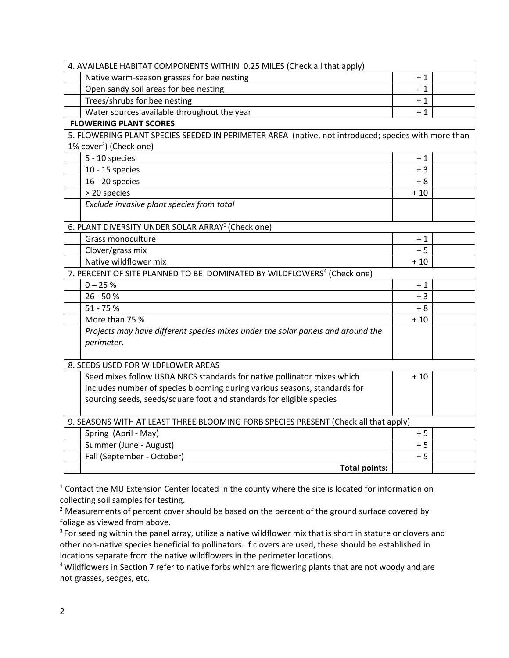| 4. AVAILABLE HABITAT COMPONENTS WITHIN 0.25 MILES (Check all that apply)                            |       |  |  |  |
|-----------------------------------------------------------------------------------------------------|-------|--|--|--|
| Native warm-season grasses for bee nesting                                                          | $+1$  |  |  |  |
| Open sandy soil areas for bee nesting                                                               | $+1$  |  |  |  |
| Trees/shrubs for bee nesting                                                                        | $+1$  |  |  |  |
| Water sources available throughout the year                                                         | $+1$  |  |  |  |
| <b>FLOWERING PLANT SCORES</b>                                                                       |       |  |  |  |
| 5. FLOWERING PLANT SPECIES SEEDED IN PERIMETER AREA (native, not introduced; species with more than |       |  |  |  |
| $1\%$ cover <sup>2</sup> ) (Check one)                                                              |       |  |  |  |
| 5 - 10 species                                                                                      | $+1$  |  |  |  |
| 10 - 15 species                                                                                     | $+3$  |  |  |  |
| 16 - 20 species                                                                                     | + 8   |  |  |  |
| > 20 species                                                                                        | $+10$ |  |  |  |
| Exclude invasive plant species from total                                                           |       |  |  |  |
| 6. PLANT DIVERSITY UNDER SOLAR ARRAY <sup>3</sup> (Check one)                                       |       |  |  |  |
| Grass monoculture                                                                                   | $+1$  |  |  |  |
| Clover/grass mix                                                                                    | $+5$  |  |  |  |
| Native wildflower mix                                                                               | $+10$ |  |  |  |
| 7. PERCENT OF SITE PLANNED TO BE DOMINATED BY WILDFLOWERS <sup>4</sup> (Check one)                  |       |  |  |  |
| $0 - 25 %$                                                                                          | $+1$  |  |  |  |
| 26 - 50 %                                                                                           | $+3$  |  |  |  |
| $51 - 75%$                                                                                          | $+8$  |  |  |  |
| More than 75 %                                                                                      | $+10$ |  |  |  |
| Projects may have different species mixes under the solar panels and around the                     |       |  |  |  |
| perimeter.                                                                                          |       |  |  |  |
|                                                                                                     |       |  |  |  |
| 8. SEEDS USED FOR WILDFLOWER AREAS                                                                  |       |  |  |  |
| Seed mixes follow USDA NRCS standards for native pollinator mixes which                             | $+10$ |  |  |  |
| includes number of species blooming during various seasons, standards for                           |       |  |  |  |
| sourcing seeds, seeds/square foot and standards for eligible species                                |       |  |  |  |
|                                                                                                     |       |  |  |  |
| 9. SEASONS WITH AT LEAST THREE BLOOMING FORB SPECIES PRESENT (Check all that apply)                 |       |  |  |  |
| Spring (April - May)                                                                                | $+5$  |  |  |  |
| Summer (June - August)                                                                              | $+5$  |  |  |  |
| Fall (September - October)                                                                          | $+5$  |  |  |  |
| <b>Total points:</b>                                                                                |       |  |  |  |

<sup>1</sup> Contact the MU Extension Center located in the county where the site is located for information on collecting soil samples for testing.

<sup>2</sup> Measurements of percent cover should be based on the percent of the ground surface covered by foliage as viewed from above.

<sup>3</sup> For seeding within the panel array, utilize a native wildflower mix that is short in stature or clovers and other non-native species beneficial to pollinators. If clovers are used, these should be established in locations separate from the native wildflowers in the perimeter locations.

<sup>4</sup>Wildflowers in Section 7 refer to native forbs which are flowering plants that are not woody and are not grasses, sedges, etc.